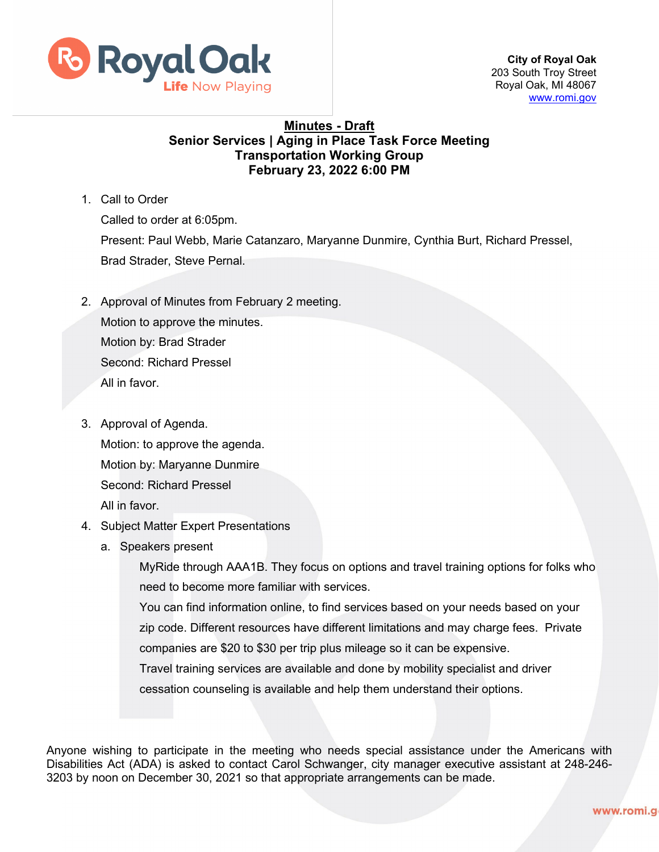

**City of Royal Oak**  203 South Troy Street Royal Oak, MI 48067 [www.romi.gov](http://www.romi.gov/)

## **Minutes - Draft Senior Services | Aging in Place Task Force Meeting Transportation Working Group February 23, 2022 6:00 PM**

1. Call to Order

Called to order at 6:05pm. Present: Paul Webb, Marie Catanzaro, Maryanne Dunmire, Cynthia Burt, Richard Pressel, Brad Strader, Steve Pernal.

- 2. Approval of Minutes from February 2 meeting. Motion to approve the minutes. Motion by: Brad Strader Second: Richard Pressel All in favor.
- 3. Approval of Agenda. Motion: to approve the agenda. Motion by: Maryanne Dunmire Second: Richard Pressel All in favor.
- 4. Subject Matter Expert Presentations
	- a. Speakers present

MyRide through AAA1B. They focus on options and travel training options for folks who need to become more familiar with services.

You can find information online, to find services based on your needs based on your zip code. Different resources have different limitations and may charge fees. Private companies are \$20 to \$30 per trip plus mileage so it can be expensive.

Travel training services are available and done by mobility specialist and driver

cessation counseling is available and help them understand their options.

Anyone wishing to participate in the meeting who needs special assistance under the Americans with Disabilities Act (ADA) is asked to contact Carol Schwanger, city manager executive assistant at 248-246- 3203 by noon on December 30, 2021 so that appropriate arrangements can be made.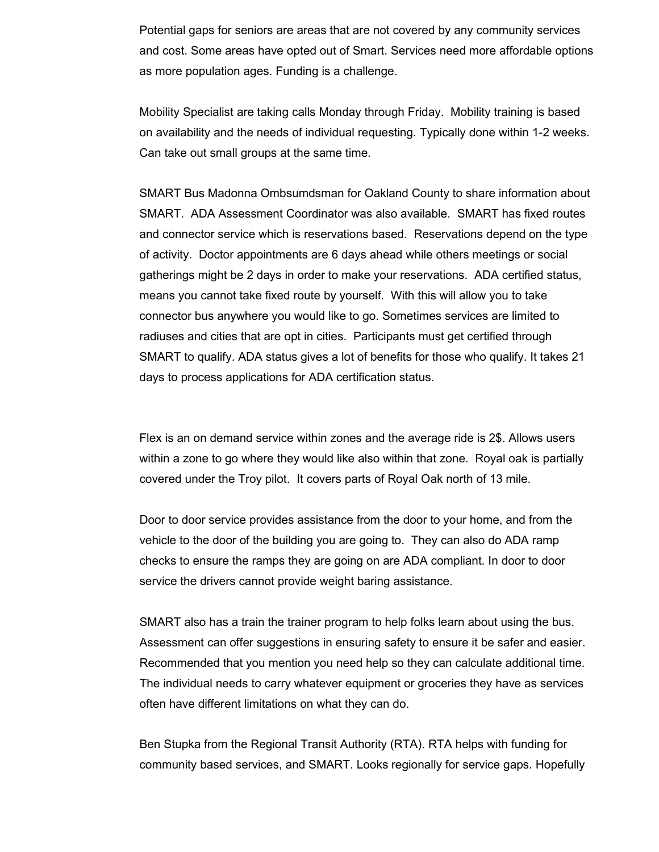Potential gaps for seniors are areas that are not covered by any community services and cost. Some areas have opted out of Smart. Services need more affordable options as more population ages. Funding is a challenge.

Mobility Specialist are taking calls Monday through Friday. Mobility training is based on availability and the needs of individual requesting. Typically done within 1-2 weeks. Can take out small groups at the same time.

SMART Bus Madonna Ombsumdsman for Oakland County to share information about SMART. ADA Assessment Coordinator was also available. SMART has fixed routes and connector service which is reservations based. Reservations depend on the type of activity. Doctor appointments are 6 days ahead while others meetings or social gatherings might be 2 days in order to make your reservations. ADA certified status, means you cannot take fixed route by yourself. With this will allow you to take connector bus anywhere you would like to go. Sometimes services are limited to radiuses and cities that are opt in cities. Participants must get certified through SMART to qualify. ADA status gives a lot of benefits for those who qualify. It takes 21 days to process applications for ADA certification status.

Flex is an on demand service within zones and the average ride is 2\$. Allows users within a zone to go where they would like also within that zone. Royal oak is partially covered under the Troy pilot. It covers parts of Royal Oak north of 13 mile.

Door to door service provides assistance from the door to your home, and from the vehicle to the door of the building you are going to. They can also do ADA ramp checks to ensure the ramps they are going on are ADA compliant. In door to door service the drivers cannot provide weight baring assistance.

SMART also has a train the trainer program to help folks learn about using the bus. Assessment can offer suggestions in ensuring safety to ensure it be safer and easier. Recommended that you mention you need help so they can calculate additional time. The individual needs to carry whatever equipment or groceries they have as services often have different limitations on what they can do.

Ben Stupka from the Regional Transit Authority (RTA). RTA helps with funding for community based services, and SMART. Looks regionally for service gaps. Hopefully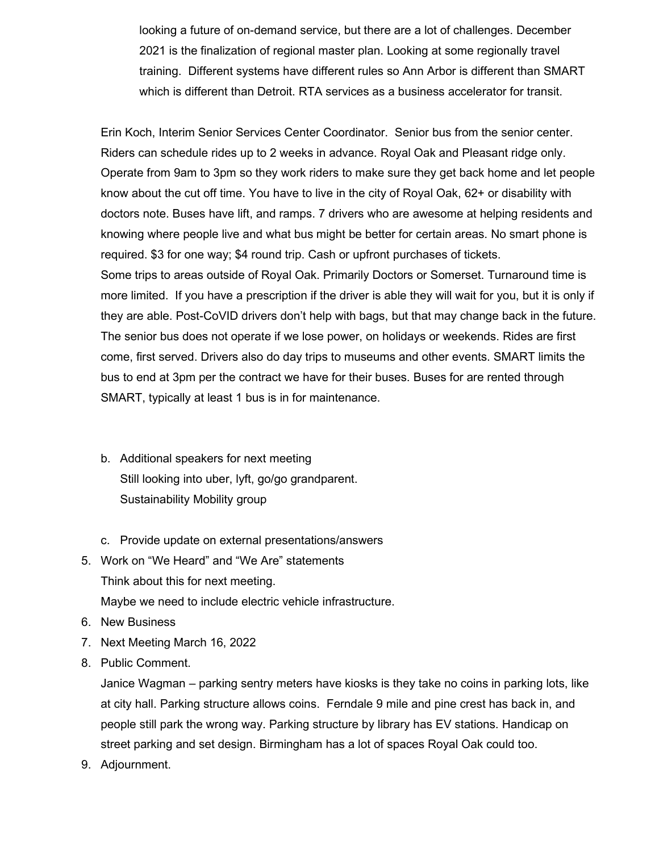looking a future of on-demand service, but there are a lot of challenges. December 2021 is the finalization of regional master plan. Looking at some regionally travel training. Different systems have different rules so Ann Arbor is different than SMART which is different than Detroit. RTA services as a business accelerator for transit.

Erin Koch, Interim Senior Services Center Coordinator. Senior bus from the senior center. Riders can schedule rides up to 2 weeks in advance. Royal Oak and Pleasant ridge only. Operate from 9am to 3pm so they work riders to make sure they get back home and let people know about the cut off time. You have to live in the city of Royal Oak, 62+ or disability with doctors note. Buses have lift, and ramps. 7 drivers who are awesome at helping residents and knowing where people live and what bus might be better for certain areas. No smart phone is required. \$3 for one way; \$4 round trip. Cash or upfront purchases of tickets. Some trips to areas outside of Royal Oak. Primarily Doctors or Somerset. Turnaround time is more limited. If you have a prescription if the driver is able they will wait for you, but it is only if they are able. Post-CoVID drivers don't help with bags, but that may change back in the future. The senior bus does not operate if we lose power, on holidays or weekends. Rides are first come, first served. Drivers also do day trips to museums and other events. SMART limits the bus to end at 3pm per the contract we have for their buses. Buses for are rented through SMART, typically at least 1 bus is in for maintenance.

- b. Additional speakers for next meeting Still looking into uber, lyft, go/go grandparent. Sustainability Mobility group
- c. Provide update on external presentations/answers
- 5. Work on "We Heard" and "We Are" statements Think about this for next meeting. Maybe we need to include electric vehicle infrastructure.
- 6. New Business
- 7. Next Meeting March 16, 2022
- 8. Public Comment.

Janice Wagman – parking sentry meters have kiosks is they take no coins in parking lots, like at city hall. Parking structure allows coins. Ferndale 9 mile and pine crest has back in, and people still park the wrong way. Parking structure by library has EV stations. Handicap on street parking and set design. Birmingham has a lot of spaces Royal Oak could too.

9. Adjournment.